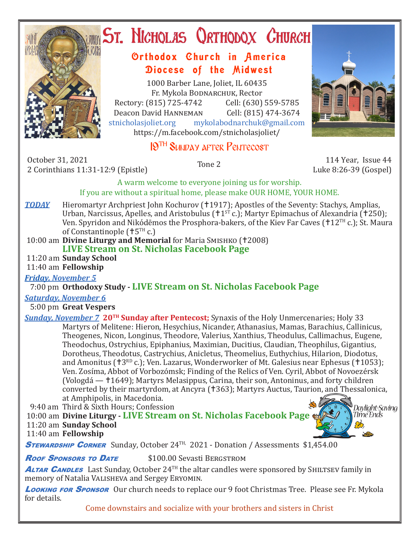

# **ST. NICHOLAS QRTHODOX CHURCH**

## Orthodox Church in America Diocese of the Midwest

1000 Barber Lane, Joliet, IL 60435 Fr. Mykola Bodnarchuk, Rector Rectory: (815) 725-4742 Cell: (630) 559-5785<br>Deacon David HANNEMAN Cell: (815) 474-3674 Deacon David Hanneman<br>stnicholasioliet.org mykola mykolabodnarchuk@gmail.com https://m.facebook.com/stnicholasjoliet/

## 19TH Sunday after Pentecost

October 31, 2021 0ctober 31, 2021 114 Year, Issue 44<br>2 Corinthians 11:31-12:9 (Epistle) Tone 2 114 Year, Issue 44

Luke 8:26-39 (Gospel)

A warm welcome to everyone joining us for worship. If you are without a spiritual home, please make OUR HOME, YOUR HOME.

**TODAY** Hieromartyr Archpriest John Kochurov (†1917); Apostles of the Seventy: Stachys, Amplias, Urban, Narcissus, Apelles, and Aristobulus ( $11<sup>ST</sup>$ c.); Martyr Epimachus of Alexandria (1750); Ven. Spyridon and Nikódēmos the Prosphora-bakers, of the Kiev Far Caves ( $12<sup>TH</sup>$ c.); St. Maura of Constantinople ( $+5<sup>TH</sup>$  c.)

10:00 am **Divine Liturgy and Memorial** for Maria SMISHKO (†2008) **LIVE Stream on St. Nicholas Facebook Page**

11:20 am **Sunday School**

11:40 am **Fellowship**

*Friday, November 5* 

7:00 pm **Orthodoxy Study - LIVE Stream on St. Nicholas Facebook Page**

*Saturday, November 6*

5:00 pm **Great Vespers**

**Sunday, November 7 20<sup>TH</sup> Sunday after Pentecost;** Synaxis of the Holy Unmercenaries; Holy 33 Martyrs of Melitene: Hieron, Hesychius, Nicander, Athanasius, Mamas, Barachius, Callinicus, Theogenes, Nicon, Longinus, Theodore, Valerius, Xanthius, Theodulus, Callimachus, Eugene, Theodochus, Ostrychius, Epiphanius, Maximian, Ducitius, Claudian, Theophilus, Gigantius, Dorotheus, Theodotus, Castrychius, Anicletus, Theomelius, Euthychius, Hilarion, Diodotus, and Amonitus ( $\uparrow$ 3<sup>RD</sup> c.); Ven. Lazarus, Wonderworker of Mt. Galesius near Ephesus ( $\uparrow$ 1053); Ven. Zosíma, Abbot of Vorbozómsk; Finding of the Relics of Ven. Cyril, Abbot of Novoezérsk (Vologdá — 1649); Martyrs Melasippus, Carina, their son, Antoninus, and forty children converted by their martyrdom, at Ancyra (†363); Martyrs Auctus, Taurion, and Thessalonica, at Amphipolis, in Macedonia.

9:40 am Third & Sixth Hours; Confession

 10:00 am **Divine Liturgy - LIVE Stream on St. Nicholas Facebook Page** 11:20 am **Sunday School**



11:40 am **Fellowship**

**STEWARDSHIP CORNER** Sunday, October 24<sup>TH,</sup> 2021 - Donation / Assessments \$1,454.00

**Roof Sponsors to Date** \$100.00 Sevasti BERGSTROM

ALTAR CANDLES Last Sunday, October 24<sup>TH</sup> the altar candles were sponsored by SHILTSEV family in memory of Natalia Valisheva and Sergey Eryomin*.*

**Looking for Sponsor** Our church needs to replace our 9 foot Christmas Tree. Please see Fr. Mykola for details.

Come downstairs and socialize with your brothers and sisters in Christ